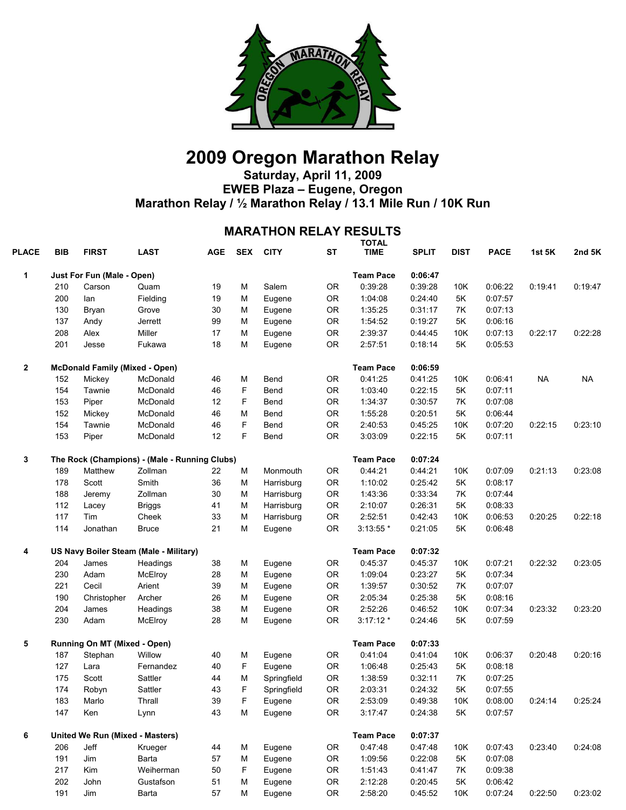

## **2009 Oregon Marathon Relay**

**Saturday, April 11, 2009 EWEB Plaza – Eugene, Oregon Marathon Relay / ½ Marathon Relay / 13.1 Mile Run / 10K Run** 

## **MARATHON RELAY RESULTS**

| <b>PLACE</b>                          | <b>BIB</b>                                                                                                                                                                                                                                                                                                                                                                                                                                                                                                                                                                                                                                                                 | <b>FIRST</b> | <b>LAST</b> | <b>AGE</b> | <b>SEX</b> | <b>CITY</b>      | SТ               | <b>TOTAL</b><br><b>TIME</b> | <b>SPLIT</b> | <b>DIST</b> | <b>PACE</b> | 1st 5K    | 2nd 5K    |
|---------------------------------------|----------------------------------------------------------------------------------------------------------------------------------------------------------------------------------------------------------------------------------------------------------------------------------------------------------------------------------------------------------------------------------------------------------------------------------------------------------------------------------------------------------------------------------------------------------------------------------------------------------------------------------------------------------------------------|--------------|-------------|------------|------------|------------------|------------------|-----------------------------|--------------|-------------|-------------|-----------|-----------|
| 1<br>$\mathbf{2}$<br>3<br>4<br>5<br>6 |                                                                                                                                                                                                                                                                                                                                                                                                                                                                                                                                                                                                                                                                            |              |             |            |            |                  |                  | <b>Team Pace</b>            | 0:06:47      |             |             |           |           |
|                                       | 210                                                                                                                                                                                                                                                                                                                                                                                                                                                                                                                                                                                                                                                                        | Carson       | Quam        | 19         | M          | Salem            | <b>OR</b>        | 0:39:28                     | 0:39:28      | 10K         | 0:06:22     | 0:19:41   | 0:19:47   |
|                                       | 200                                                                                                                                                                                                                                                                                                                                                                                                                                                                                                                                                                                                                                                                        | lan          | Fielding    | 19         | M          | Eugene           | 0R               | 1:04:08                     | 0:24:40      | 5K          | 0:07:57     |           |           |
|                                       | 130<br>137<br>208<br>201<br>152<br>154<br>153<br>152<br>154<br>153<br>189<br>178<br>188<br>112<br>117<br>114<br>204<br>230<br>221<br>190<br>204<br>230<br>187<br>127<br>175<br>174<br>183<br>147<br>206<br>191<br>217<br>202                                                                                                                                                                                                                                                                                                                                                                                                                                               | Bryan        | Grove       | 30         | M          | Eugene           | 0R               | 1:35:25                     | 0:31:17      | 7K          | 0:07:13     |           |           |
|                                       |                                                                                                                                                                                                                                                                                                                                                                                                                                                                                                                                                                                                                                                                            |              | Jerrett     | 99         | M          | Eugene           | 0R               | 1:54:52                     | 0:19:27      | 5K          | 0:06:16     |           |           |
|                                       |                                                                                                                                                                                                                                                                                                                                                                                                                                                                                                                                                                                                                                                                            | Alex         | Miller      | 17         | M          | Eugene           | <b>OR</b>        | 2:39:37                     | 0:44:45      | 10K         | 0:07:13     | 0:22:17   | 0:22:28   |
|                                       |                                                                                                                                                                                                                                                                                                                                                                                                                                                                                                                                                                                                                                                                            | Jesse        | Fukawa      | 18         | M          | Eugene           | <b>OR</b>        | 2:57:51                     | 0:18:14      | 5K          | 0:05:53     |           |           |
|                                       |                                                                                                                                                                                                                                                                                                                                                                                                                                                                                                                                                                                                                                                                            |              |             |            |            |                  |                  | <b>Team Pace</b>            | 0:06:59      |             |             |           |           |
|                                       |                                                                                                                                                                                                                                                                                                                                                                                                                                                                                                                                                                                                                                                                            | Mickey       | McDonald    | 46         | M          | Bend             | OR               | 0:41:25                     | 0:41:25      | 10K         | 0:06:41     | <b>NA</b> | <b>NA</b> |
|                                       |                                                                                                                                                                                                                                                                                                                                                                                                                                                                                                                                                                                                                                                                            | Tawnie       | McDonald    | 46         | F          | Bend             | 0R               | 1:03:40                     | 0:22:15      | 5K          | 0:07:11     |           |           |
|                                       |                                                                                                                                                                                                                                                                                                                                                                                                                                                                                                                                                                                                                                                                            | Piper        | McDonald    | 12         | F          | Bend             | 0R               | 1:34:37                     | 0:30:57      | 7K          | 0:07:08     |           |           |
|                                       |                                                                                                                                                                                                                                                                                                                                                                                                                                                                                                                                                                                                                                                                            |              | McDonald    | 46         | M          | Bend             | 0R               | 1:55:28                     | 0:20:51      | 5K          | 0:06:44     |           |           |
|                                       |                                                                                                                                                                                                                                                                                                                                                                                                                                                                                                                                                                                                                                                                            | Tawnie       | McDonald    | 46         | F          | Bend             | 0R               | 2:40:53                     | 0:45:25      | 10K         | 0:07:20     | 0:22:15   | 0:23:10   |
|                                       |                                                                                                                                                                                                                                                                                                                                                                                                                                                                                                                                                                                                                                                                            | Piper        | McDonald    | 12         | F          | Bend             | <b>OR</b>        | 3:03:09                     | 0:22:15      | 5K          | 0:07:11     |           |           |
|                                       | Just For Fun (Male - Open)<br>Andy<br><b>McDonald Family (Mixed - Open)</b><br>Mickey<br>The Rock (Champions) - (Male - Running Clubs)<br>Matthew<br>Zollman<br>Smith<br>Scott<br>Zollman<br>Jeremy<br><b>Briggs</b><br>Lacey<br>Tim<br>Cheek<br>Jonathan<br><b>Bruce</b><br>US Navy Boiler Steam (Male - Military)<br>James<br>Adam<br>McElroy<br>Cecil<br>Arient<br>Archer<br>Christopher<br>James<br>Adam<br>McElroy<br>Running On MT (Mixed - Open)<br>Willow<br>Stephan<br>Lara<br>Sattler<br>Scott<br>Sattler<br>Robyn<br>Marlo<br>Thrall<br>Ken<br>Lynn<br>United We Run (Mixed - Masters)<br>Jeff<br>Krueger<br>Jim<br>Barta<br>Kim<br>John<br>191<br>Jim<br>Barta |              |             |            |            |                  | <b>Team Pace</b> | 0:07:24                     |              |             |             |           |           |
|                                       |                                                                                                                                                                                                                                                                                                                                                                                                                                                                                                                                                                                                                                                                            |              |             | 22         | M          | Monmouth         | 0R               | 0:44:21                     | 0:44:21      | 10K         | 0:07:09     | 0:21:13   | 0:23:08   |
|                                       |                                                                                                                                                                                                                                                                                                                                                                                                                                                                                                                                                                                                                                                                            |              |             | 36         | M          | Harrisburg       | 0R               | 1:10:02                     | 0:25:42      | 5K          | 0:08:17     |           |           |
|                                       |                                                                                                                                                                                                                                                                                                                                                                                                                                                                                                                                                                                                                                                                            |              |             | 30         | M          | Harrisburg       | 0R               | 1:43:36                     | 0:33:34      | 7K          | 0:07:44     |           |           |
|                                       |                                                                                                                                                                                                                                                                                                                                                                                                                                                                                                                                                                                                                                                                            |              |             | 41         | M          | Harrisburg       | 0R               | 2:10:07                     | 0:26:31      | 5K          | 0:08:33     |           |           |
|                                       |                                                                                                                                                                                                                                                                                                                                                                                                                                                                                                                                                                                                                                                                            |              |             | 33         | M          | Harrisburg       | <b>OR</b>        | 2:52:51                     | 0:42:43      | 10K         | 0:06:53     | 0:20:25   | 0:22:18   |
|                                       |                                                                                                                                                                                                                                                                                                                                                                                                                                                                                                                                                                                                                                                                            |              |             | 21         | M          | Eugene           | <b>OR</b>        | $3:13:55$ *                 | 0:21:05      | 5K          | 0:06:48     |           |           |
|                                       |                                                                                                                                                                                                                                                                                                                                                                                                                                                                                                                                                                                                                                                                            |              |             |            |            | <b>Team Pace</b> | 0:07:32          |                             |              |             |             |           |           |
|                                       |                                                                                                                                                                                                                                                                                                                                                                                                                                                                                                                                                                                                                                                                            |              | Headings    | 38         | M          | Eugene           | OR               | 0:45:37                     | 0:45:37      | 10K         | 0:07:21     | 0:22:32   | 0:23:05   |
|                                       |                                                                                                                                                                                                                                                                                                                                                                                                                                                                                                                                                                                                                                                                            |              |             | 28         | M          | Eugene           | 0R               | 1:09:04                     | 0:23:27      | 5K          | 0:07:34     |           |           |
|                                       |                                                                                                                                                                                                                                                                                                                                                                                                                                                                                                                                                                                                                                                                            |              |             | 39         | M          | Eugene           | <b>OR</b>        | 1:39:57                     | 0:30:52      | 7K          | 0:07:07     |           |           |
|                                       |                                                                                                                                                                                                                                                                                                                                                                                                                                                                                                                                                                                                                                                                            |              |             | 26         | M          | Eugene           | 0R               | 2:05:34                     | 0:25:38      | 5K          | 0:08:16     |           |           |
|                                       |                                                                                                                                                                                                                                                                                                                                                                                                                                                                                                                                                                                                                                                                            |              | Headings    | 38         | M          | Eugene           | <b>OR</b>        | 2:52:26                     | 0:46:52      | 10K         | 0:07:34     | 0:23:32   | 0:23:20   |
|                                       |                                                                                                                                                                                                                                                                                                                                                                                                                                                                                                                                                                                                                                                                            |              |             | 28         | M          | Eugene           | 0R               | $3:17:12*$                  | 0:24:46      | 5K          | 0:07:59     |           |           |
|                                       |                                                                                                                                                                                                                                                                                                                                                                                                                                                                                                                                                                                                                                                                            |              |             |            |            |                  |                  | <b>Team Pace</b>            | 0:07:33      |             |             |           |           |
|                                       |                                                                                                                                                                                                                                                                                                                                                                                                                                                                                                                                                                                                                                                                            |              |             | 40         | M          | Eugene           | <b>OR</b>        | 0:41:04                     | 0:41:04      | 10K         | 0:06:37     | 0:20:48   | 0:20:16   |
|                                       |                                                                                                                                                                                                                                                                                                                                                                                                                                                                                                                                                                                                                                                                            |              | Fernandez   | 40         | F          | Eugene           | 0R               | 1:06:48                     | 0:25:43      | 5K          | 0:08:18     |           |           |
|                                       |                                                                                                                                                                                                                                                                                                                                                                                                                                                                                                                                                                                                                                                                            |              |             | 44         | M          | Springfield      | <b>OR</b>        | 1:38:59                     | 0:32:11      | 7K          | 0:07:25     |           |           |
|                                       |                                                                                                                                                                                                                                                                                                                                                                                                                                                                                                                                                                                                                                                                            |              |             | 43         | F          | Springfield      | 0R               | 2:03:31                     | 0:24:32      | 5K          | 0:07:55     |           |           |
|                                       |                                                                                                                                                                                                                                                                                                                                                                                                                                                                                                                                                                                                                                                                            |              |             | 39         | F          | Eugene           | OR.              | 2:53:09                     | 0:49:38      | 10K         | 0:08:00     | 0:24:14   | 0:25:24   |
|                                       |                                                                                                                                                                                                                                                                                                                                                                                                                                                                                                                                                                                                                                                                            |              |             | 43         | M          | Eugene           | <b>OR</b>        | 3:17:47                     | 0:24:38      | 5K          | 0:07:57     |           |           |
|                                       |                                                                                                                                                                                                                                                                                                                                                                                                                                                                                                                                                                                                                                                                            |              |             |            |            |                  |                  | <b>Team Pace</b>            | 0:07:37      |             |             |           |           |
|                                       |                                                                                                                                                                                                                                                                                                                                                                                                                                                                                                                                                                                                                                                                            |              |             | 44         | M          | Eugene           | 0R               | 0:47:48                     | 0:47:48      | 10K         | 0:07:43     | 0:23:40   | 0:24:08   |
|                                       |                                                                                                                                                                                                                                                                                                                                                                                                                                                                                                                                                                                                                                                                            |              |             | 57         | M          | Eugene           | 0R               | 1:09:56                     | 0:22:08      | 5K          | 0:07:08     |           |           |
|                                       |                                                                                                                                                                                                                                                                                                                                                                                                                                                                                                                                                                                                                                                                            |              | Weiherman   | 50         | F          | Eugene           | 0R               | 1:51:43                     | 0:41:47      | 7K          | 0:09:38     |           |           |
|                                       |                                                                                                                                                                                                                                                                                                                                                                                                                                                                                                                                                                                                                                                                            |              | Gustafson   | 51         | M          | Eugene           | 0R               | 2:12:28                     | 0:20:45      | 5K          | 0:06:42     |           |           |
|                                       |                                                                                                                                                                                                                                                                                                                                                                                                                                                                                                                                                                                                                                                                            |              |             | 57         | M          | Eugene           | OR               | 2:58:20                     | 0:45:52      | 10K         | 0:07:24     | 0:22:50   | 0:23:02   |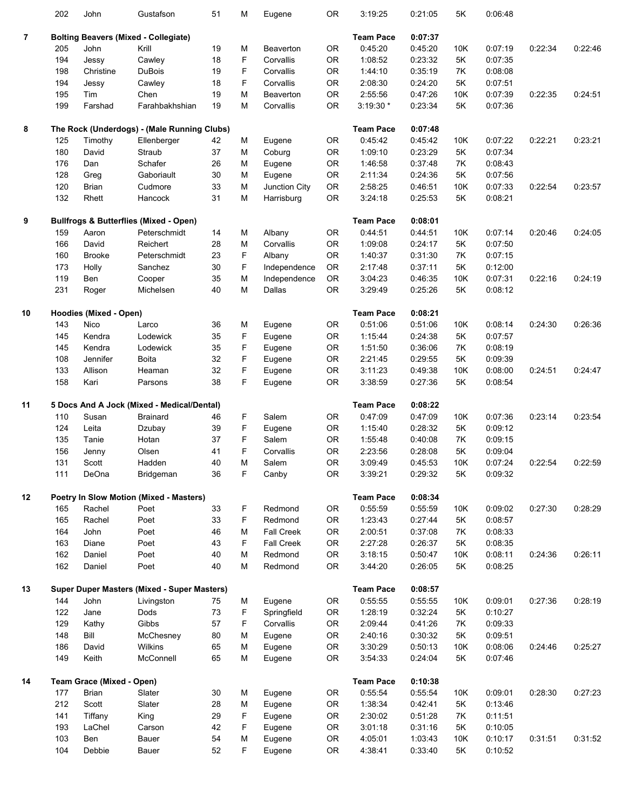|                | 202 | John                             | Gustafson                                          | 51     | M | Eugene            | <b>OR</b> | 3:19:25          | 0:21:05 | 5K  | 0:06:48 |         |         |
|----------------|-----|----------------------------------|----------------------------------------------------|--------|---|-------------------|-----------|------------------|---------|-----|---------|---------|---------|
| $\overline{7}$ |     |                                  | <b>Bolting Beavers (Mixed - Collegiate)</b>        |        |   |                   |           | <b>Team Pace</b> | 0:07:37 |     |         |         |         |
|                | 205 | John                             | Krill                                              | 19     | Μ | Beaverton         | <b>OR</b> | 0:45:20          | 0:45:20 | 10K | 0:07:19 | 0:22:34 | 0:22:46 |
|                | 194 | Jessy                            | Cawley                                             | 18     | F | Corvallis         | <b>OR</b> | 1:08:52          | 0:23:32 | 5K  | 0:07:35 |         |         |
|                |     | Christine                        |                                                    | 19     | F |                   |           |                  |         |     |         |         |         |
|                | 198 |                                  | DuBois                                             |        |   | Corvallis         | <b>OR</b> | 1:44:10          | 0:35:19 | 7K  | 0:08:08 |         |         |
|                | 194 | Jessy                            | Cawley                                             | 18     | F | Corvallis         | <b>OR</b> | 2:08:30          | 0:24:20 | 5K  | 0:07:51 |         |         |
|                | 195 | Tim                              | Chen                                               | 19     | M | Beaverton         | 0R        | 2:55:56          | 0:47:26 | 10K | 0:07:39 | 0:22:35 | 0:24:51 |
|                | 199 | Farshad                          | Farahbakhshian                                     | 19     | M | Corvallis         | 0R        | 3:19:30 *        | 0:23:34 | 5K  | 0:07:36 |         |         |
| 8              |     |                                  | The Rock (Underdogs) - (Male Running Clubs)        |        |   |                   |           | <b>Team Pace</b> | 0:07:48 |     |         |         |         |
|                | 125 | Timothy                          | Ellenberger                                        | 42     | Μ | Eugene            | <b>OR</b> | 0:45:42          | 0:45:42 | 10K | 0:07:22 | 0:22:21 | 0:23:21 |
|                | 180 | David                            | Straub                                             | 37     | M | Coburg            | 0R        | 1:09:10          | 0:23:29 | 5K  | 0:07:34 |         |         |
|                | 176 | Dan                              | Schafer                                            | 26     | Μ | Eugene            | 0R        | 1:46:58          | 0:37:48 | 7K  | 0:08:43 |         |         |
|                | 128 | Greg                             | Gaboriault                                         | $30\,$ | M | Eugene            | 0R        | 2:11:34          | 0:24:36 | 5K  | 0:07:56 |         |         |
|                | 120 | <b>Brian</b>                     | Cudmore                                            | 33     | M | Junction City     | OR        | 2:58:25          | 0:46:51 | 10K | 0:07:33 | 0:22:54 | 0:23:57 |
|                | 132 | Rhett                            | Hancock                                            | 31     | M | Harrisburg        | 0R        | 3:24:18          | 0:25:53 | 5K  | 0:08:21 |         |         |
|                |     |                                  |                                                    |        |   |                   |           |                  |         |     |         |         |         |
| 9              |     |                                  | <b>Bullfrogs &amp; Butterflies (Mixed - Open)</b>  |        |   |                   |           | <b>Team Pace</b> | 0:08:01 |     |         |         |         |
|                | 159 | Aaron                            | Peterschmidt                                       | 14     | M | Albany            | <b>OR</b> | 0:44:51          | 0:44:51 | 10K | 0:07:14 | 0:20:46 | 0:24:05 |
|                | 166 | David                            | Reichert                                           | 28     | M | Corvallis         | <b>OR</b> | 1:09:08          | 0:24:17 | 5K  | 0:07:50 |         |         |
|                | 160 | <b>Brooke</b>                    | Peterschmidt                                       | 23     | F | Albany            | <b>OR</b> | 1:40:37          | 0:31:30 | 7K  | 0:07:15 |         |         |
|                | 173 | Holly                            | Sanchez                                            | 30     | F | Independence      | OR        | 2:17:48          | 0:37:11 | 5K  | 0:12:00 |         |         |
|                | 119 | Ben                              | Cooper                                             | 35     | M | Independence      | OR        | 3:04:23          | 0:46:35 | 10K | 0:07:31 | 0:22:16 | 0:24:19 |
|                | 231 | Roger                            | Michelsen                                          | 40     | M | Dallas            | <b>OR</b> | 3:29:49          | 0:25:26 | 5K  | 0:08:12 |         |         |
| 10             |     | <b>Hoodies (Mixed - Open)</b>    |                                                    |        |   |                   |           | <b>Team Pace</b> | 0:08:21 |     |         |         |         |
|                | 143 | Nico                             | Larco                                              | 36     | Μ | Eugene            | <b>OR</b> | 0:51:06          | 0:51:06 | 10K | 0:08:14 | 0:24:30 | 0:26:36 |
|                | 145 | Kendra                           | Lodewick                                           | 35     | F | Eugene            | 0R        | 1:15:44          | 0:24:38 | 5K  | 0:07:57 |         |         |
|                | 145 | Kendra                           | Lodewick                                           | 35     | F | Eugene            | 0R        | 1:51:50          | 0:36:06 | 7K  | 0:08:19 |         |         |
|                | 108 | Jennifer                         | Boita                                              | 32     | F | Eugene            | 0R        | 2:21:45          | 0:29:55 | 5K  | 0:09:39 |         |         |
|                | 133 | Allison                          | Heaman                                             | 32     | F | Eugene            | 0R        | 3:11:23          | 0:49:38 | 10K | 0:08:00 | 0:24:51 | 0:24:47 |
|                | 158 | Kari                             | Parsons                                            | 38     | F | Eugene            | 0R        | 3:38:59          | 0:27:36 | 5K  | 0:08:54 |         |         |
|                |     |                                  |                                                    |        |   |                   |           |                  |         |     |         |         |         |
| 11             |     |                                  | 5 Docs And A Jock (Mixed - Medical/Dental)         |        |   |                   |           | <b>Team Pace</b> | 0:08:22 |     |         |         |         |
|                | 110 | Susan                            | <b>Brainard</b>                                    | 46     | F | Salem             | 0R        | 0:47:09          | 0:47:09 | 10K | 0:07:36 | 0:23:14 | 0:23:54 |
|                | 124 | Leita                            | Dzubay                                             | 39     | F | Eugene            | 0R        | 1:15:40          | 0:28:32 | 5K  | 0:09:12 |         |         |
|                | 135 | Tanie                            | Hotan                                              | 37     | F | Salem             | 0R        | 1:55:48          | 0:40:08 | 7K  | 0:09:15 |         |         |
|                | 156 | Jenny                            | Olsen                                              | 41     | F | Corvallis         | <b>OR</b> | 2:23:56          | 0:28:08 | 5K  | 0:09:04 |         |         |
|                | 131 | Scott                            | Hadden                                             | 40     | M | Salem             | <b>OR</b> | 3:09:49          | 0:45:53 | 10K | 0:07:24 | 0:22:54 | 0:22:59 |
|                | 111 | DeOna                            | Bridgeman                                          | 36     | F | Canby             | OR        | 3:39:21          | 0:29:32 | 5K  | 0:09:32 |         |         |
| 12             |     |                                  | Poetry In Slow Motion (Mixed - Masters)            |        |   |                   |           | <b>Team Pace</b> | 0:08:34 |     |         |         |         |
|                | 165 | Rachel                           | Poet                                               | 33     | F | Redmond           | 0R        | 0:55:59          | 0:55:59 | 10K | 0:09:02 | 0:27:30 | 0:28:29 |
|                | 165 | Rachel                           | Poet                                               | 33     | F | Redmond           | 0R        | 1:23:43          | 0:27:44 | 5K  | 0:08:57 |         |         |
|                | 164 | John                             | Poet                                               | 46     | M | Fall Creek        | 0R        | 2:00:51          | 0:37:08 | 7K  | 0:08:33 |         |         |
|                | 163 | Diane                            | Poet                                               | 43     | F | <b>Fall Creek</b> | OR        | 2:27:28          | 0:26:37 | 5K  | 0:08:35 |         |         |
|                | 162 | Daniel                           | Poet                                               | 40     | M | Redmond           | OR        | 3:18:15          | 0:50:47 | 10K | 0:08:11 | 0:24:36 | 0:26:11 |
|                | 162 | Daniel                           | Poet                                               | 40     | M | Redmond           | OR        | 3:44:20          | 0:26:05 | 5K  | 0:08:25 |         |         |
| 13             |     |                                  | <b>Super Duper Masters (Mixed - Super Masters)</b> |        |   |                   |           | <b>Team Pace</b> | 0:08:57 |     |         |         |         |
|                | 144 | John                             | Livingston                                         | 75     | M | Eugene            | 0R        | 0:55:55          | 0:55:55 | 10K | 0:09:01 | 0:27:36 | 0:28:19 |
|                |     |                                  |                                                    |        |   |                   |           |                  |         |     |         |         |         |
|                | 122 | Jane                             | Dods                                               | 73     | F | Springfield       | 0R        | 1:28:19          | 0:32:24 | 5K  | 0:10:27 |         |         |
|                | 129 | Kathy                            | Gibbs                                              | 57     | F | Corvallis         | 0R        | 2:09:44          | 0:41:26 | 7K  | 0:09:33 |         |         |
|                | 148 | Bill                             | McChesney                                          | 80     | M | Eugene            | OR        | 2:40:16          | 0:30:32 | 5K  | 0:09:51 |         |         |
|                | 186 | David                            | Wilkins                                            | 65     | M | Eugene            | OR        | 3:30:29          | 0:50:13 | 10K | 0:08:06 | 0:24:46 | 0:25:27 |
|                | 149 | Keith                            | McConnell                                          | 65     | Μ | Eugene            | OR        | 3:54:33          | 0:24:04 | 5K  | 0:07:46 |         |         |
| 14             |     | <b>Team Grace (Mixed - Open)</b> |                                                    |        |   |                   |           | <b>Team Pace</b> | 0:10:38 |     |         |         |         |
|                | 177 | <b>Brian</b>                     | Slater                                             | 30     | M | Eugene            | 0R        | 0:55:54          | 0:55:54 | 10K | 0:09:01 | 0:28:30 | 0:27:23 |
|                | 212 | Scott                            | Slater                                             | 28     | M | Eugene            | 0R        | 1:38:34          | 0:42:41 | 5K  | 0:13:46 |         |         |
|                | 141 | Tiffany                          | King                                               | 29     | F | Eugene            | 0R        | 2:30:02          | 0:51:28 | 7K  | 0:11:51 |         |         |
|                | 193 | LaChel                           | Carson                                             | 42     | F | Eugene            | OR        | 3:01:18          | 0:31:16 | 5K  | 0:10:05 |         |         |
|                | 103 | Ben                              | Bauer                                              | 54     | M | Eugene            | OR        | 4:05:01          | 1:03:43 | 10K | 0:10:17 | 0:31:51 | 0:31:52 |
|                | 104 | Debbie                           | Bauer                                              | 52     | F | Eugene            | OR        | 4:38:41          | 0:33:40 | 5K  | 0:10:52 |         |         |
|                |     |                                  |                                                    |        |   |                   |           |                  |         |     |         |         |         |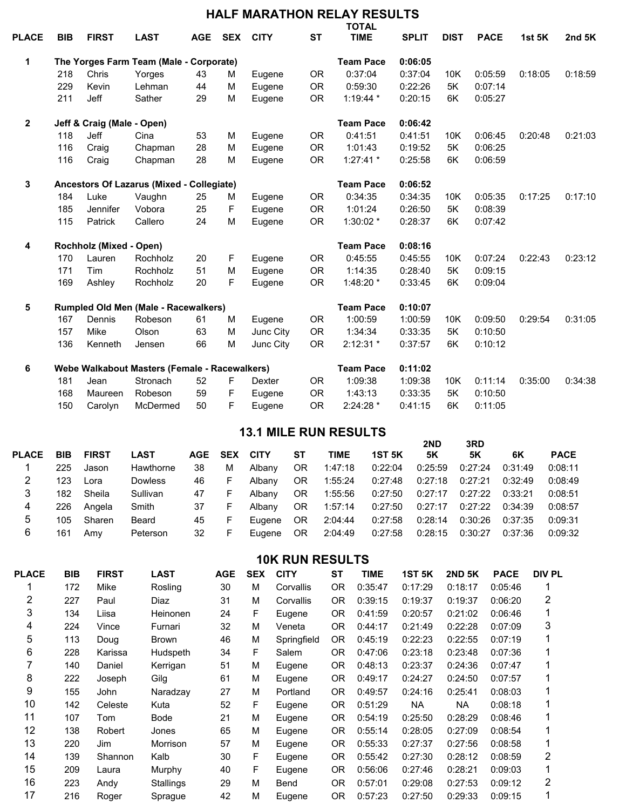|              |                            |                            |                                               |            |            |             |           | <b>HALF MARATHON RELAY RESULTS</b><br><b>TOTAL</b> |              |             |             |               |          |
|--------------|----------------------------|----------------------------|-----------------------------------------------|------------|------------|-------------|-----------|----------------------------------------------------|--------------|-------------|-------------|---------------|----------|
| <b>PLACE</b> | <b>BIB</b>                 | <b>FIRST</b>               | <b>LAST</b>                                   | <b>AGE</b> | <b>SEX</b> | <b>CITY</b> | <b>ST</b> | <b>TIME</b>                                        | <b>SPLIT</b> | <b>DIST</b> | <b>PACE</b> | <b>1st 5K</b> | 2nd $5K$ |
| 1            |                            |                            | The Yorges Farm Team (Male - Corporate)       |            |            |             |           | <b>Team Pace</b>                                   | 0:06:05      |             |             |               |          |
|              | 218                        | Chris                      | Yorges                                        | 43         | м          | Eugene      | <b>OR</b> | 0:37:04                                            | 0:37:04      | 10K         | 0:05:59     | 0:18:05       | 0:18:59  |
|              | 229                        | Kevin                      | Lehman                                        | 44         | M          | Eugene      | <b>OR</b> | 0:59:30                                            | 0:22:26      | 5K          | 0:07:14     |               |          |
|              | 211                        | Jeff                       | Sather                                        | 29         | M          | Eugene      | <b>OR</b> | 1:19:44 *                                          | 0:20:15      | 6K          | 0:05:27     |               |          |
| $\mathbf 2$  |                            | Jeff & Craig (Male - Open) |                                               |            |            |             |           | <b>Team Pace</b>                                   | 0:06:42      |             |             |               |          |
|              | 118                        | <b>Jeff</b>                | Cina                                          | 53         | M          | Eugene      | <b>OR</b> | 0:41:51                                            | 0:41:51      | 10K         | 0:06:45     | 0:20:48       | 0:21:03  |
|              | 116                        | Craig                      | Chapman                                       | 28         | M          | Eugene      | <b>OR</b> | 1:01:43                                            | 0:19:52      | 5K          | 0:06:25     |               |          |
|              | 116                        | Craig                      | Chapman                                       | 28         | M          | Eugene      | <b>OR</b> | $1:27:41*$                                         | 0:25:58      | 6K          | 0:06:59     |               |          |
| 3            |                            |                            | Ancestors Of Lazarus (Mixed - Collegiate)     |            |            |             |           | <b>Team Pace</b>                                   | 0:06:52      |             |             |               |          |
|              | 184                        | Luke                       | Vaughn                                        | 25         | M          | Eugene      | <b>OR</b> | 0:34:35                                            | 0:34:35      | 10K         | 0:05:35     | 0:17:25       | 0:17:10  |
|              | 185                        | Jennifer                   | Vobora                                        | 25         | F          | Eugene      | <b>OR</b> | 1:01:24                                            | 0:26:50      | 5K          | 0:08:39     |               |          |
|              | 115                        | Patrick                    | Callero                                       | 24         | M          | Eugene      | <b>OR</b> | 1:30:02 *                                          | 0:28:37      | 6K          | 0:07:42     |               |          |
| 4            | Rochholz (Mixed -<br>Open) |                            |                                               |            |            |             |           | <b>Team Pace</b>                                   | 0:08:16      |             |             |               |          |
|              | 170                        | Lauren                     | Rochholz                                      | 20         | F          | Eugene      | <b>OR</b> | 0:45:55                                            | 0:45:55      | 10K         | 0:07:24     | 0:22:43       | 0:23:12  |
|              | 171                        | Tim                        | Rochholz                                      | 51         | M          | Eugene      | <b>OR</b> | 1:14:35                                            | 0:28:40      | 5K          | 0:09:15     |               |          |
|              | 169                        | Ashley                     | Rochholz                                      | 20         | F          | Eugene      | <b>OR</b> | 1:48:20 *                                          | 0:33:45      | 6K          | 0:09:04     |               |          |
| 5            |                            |                            | <b>Rumpled Old Men (Male - Racewalkers)</b>   |            |            |             |           | <b>Team Pace</b>                                   | 0:10:07      |             |             |               |          |
|              | 167                        | Dennis                     | Robeson                                       | 61         | M          | Eugene      | 0R        | 1:00:59                                            | 1:00:59      | 10K         | 0:09:50     | 0:29:54       | 0:31:05  |
|              | 157                        | Mike                       | Olson                                         | 63         | M          | Junc City   | <b>OR</b> | 1:34:34                                            | 0:33:35      | 5K          | 0:10:50     |               |          |
|              | 136                        | Kenneth                    | Jensen                                        | 66         | M          | Junc City   | <b>OR</b> | $2:12:31*$                                         | 0:37:57      | 6K          | 0:10:12     |               |          |
| 6            |                            |                            | Webe Walkabout Masters (Female - Racewalkers) |            |            |             |           | <b>Team Pace</b>                                   | 0:11:02      |             |             |               |          |
|              | 181                        | Jean                       | Stronach                                      | 52         | F          | Dexter      | <b>OR</b> | 1:09:38                                            | 1:09:38      | 10K         | 0:11:14     | 0:35:00       | 0:34:38  |
|              | 168                        | Maureen                    | Robeson                                       | 59         | F          | Eugene      | <b>OR</b> | 1:43:13                                            | 0:33:35      | 5K          | 0:10:50     |               |          |
|              | 150                        | Carolyn                    | McDermed                                      | 50         | F          | Eugene      | <b>OR</b> | 2:24:28 *                                          | 0:41:15      | 6K          | 0:11:05     |               |          |

## **13.1 MILE RUN RESULTS**

| <b>PLACE</b> | <b>BIB</b> | <b>FIRST</b> | <b>LAST</b>    |    | <b>AGE SEX</b> | <b>CITY</b> | SТ  | TIME    | 1ST 5K  | 2ND<br>5K | 3RD<br>5Κ | 6K      | <b>PACE</b> |
|--------------|------------|--------------|----------------|----|----------------|-------------|-----|---------|---------|-----------|-----------|---------|-------------|
|              | 225        | Jason        | Hawthorne      | 38 | м              | Albany      | OR. | 1:47:18 | 0:22:04 | 0:25:59   | 0:27:24   | 0:31:49 | 0:08:11     |
| 2            | 123        | Lora         | <b>Dowless</b> | 46 | F.             | Albany      | OR. | 1:55:24 | 0:27:48 | 0:27:18   | 0:27:21   | 0:32:49 | 0:08:49     |
| 3            | 182        | Sheila       | Sullivan       | 47 | F.             | Albany      | OR. | 1:55:56 | 0:27:50 | 0:27:17   | 0:27:22   | 0:33:21 | 0:08:51     |
| 4            | 226        | Angela       | Smith          | 37 | F.             | Albany      | OR. | 1:57:14 | 0:27:50 | 0:27:17   | 0:27:22   | 0:34:39 | 0:08:57     |
| 5            | 105        | Sharen       | Beard          | 45 | F.             | Eugene      | OR. | 2:04:44 | 0:27:58 | 0:28:14   | 0:30:26   | 0:37:35 | 0:09:31     |
| 6            | 161        | Amv          | Peterson       | 32 | F.             | Eugene      | OR. | 2:04:49 | 0:27:58 | 0:28:15   | 0:30:27   | 0:37:36 | 0:09:32     |
|              |            |              |                |    |                |             |     |         |         |           |           |         |             |

**10K RUN RESULTS** 

| <b>PLACE</b> | <b>BIB</b> | <b>FIRST</b> | <b>LAST</b>  | <b>AGE</b> | <b>SEX</b> | <b>CITY</b> | <b>ST</b>       | <b>TIME</b> | <b>1ST 5K</b> | <b>2ND 5K</b> | <b>PACE</b> | <b>DIV PL</b> |
|--------------|------------|--------------|--------------|------------|------------|-------------|-----------------|-------------|---------------|---------------|-------------|---------------|
|              | 172        | Mike         | Rosling      | 30         | м          | Corvallis   | <b>OR</b>       | 0:35:47     | 0:17:29       | 0:18:17       | 0:05:46     |               |
| 2            | 227        | Paul         | Diaz         | 31         | М          | Corvallis   | OR <sub>1</sub> | 0:39:15     | 0:19:37       | 0:19:37       | 0:06:20     | 2             |
| 3            | 134        | Liisa        | Heinonen     | 24         | F          | Eugene      | OR.             | 0:41:59     | 0:20:57       | 0:21:02       | 0:06:46     |               |
| 4            | 224        | Vince        | Furnari      | 32         | М          | Veneta      | OR.             | 0:44:17     | 0:21:49       | 0:22:28       | 0:07:09     | 3             |
| 5            | 113        | Doug         | <b>Brown</b> | 46         | М          | Springfield | <b>OR</b>       | 0:45:19     | 0:22:23       | 0:22:55       | 0:07:19     |               |
| 6            | 228        | Karissa      | Hudspeth     | 34         | F          | Salem       | 0 <sub>R</sub>  | 0:47:06     | 0:23:18       | 0:23:48       | 0:07:36     |               |
|              | 140        | Daniel       | Kerrigan     | 51         | М          | Eugene      | OR.             | 0:48:13     | 0:23:37       | 0:24:36       | 0:07:47     |               |
| 8            | 222        | Joseph       | Gilg         | 61         | М          | Eugene      | 0R              | 0:49:17     | 0:24:27       | 0:24:50       | 0:07:57     |               |
| 9            | 155        | John         | Naradzay     | 27         | М          | Portland    | OR.             | 0:49:57     | 0:24:16       | 0:25:41       | 0:08:03     |               |
| 10           | 142        | Celeste      | Kuta         | 52         | F          | Eugene      | 0R              | 0:51:29     | <b>NA</b>     | <b>NA</b>     | 0:08:18     |               |
| 11           | 107        | Tom          | <b>Bode</b>  | 21         | М          | Eugene      | OR.             | 0:54:19     | 0:25:50       | 0:28:29       | 0:08:46     |               |
| 12           | 138        | Robert       | Jones        | 65         | M          | Eugene      | OR.             | 0:55:14     | 0:28:05       | 0:27:09       | 0:08:54     |               |
| 13           | 220        | Jim          | Morrison     | 57         | М          | Eugene      | OR.             | 0:55:33     | 0:27:37       | 0:27:56       | 0:08:58     |               |
| 14           | 139        | Shannon      | Kalb         | 30         | F          | Eugene      | OR.             | 0:55:42     | 0:27:30       | 0:28:12       | 0:08:59     | 2             |
| 15           | 209        | Laura        | Murphy       | 40         | F          | Eugene      | 0R              | 0:56:06     | 0:27:46       | 0:28:21       | 0:09:03     |               |
| 16           | 223        | Andy         | Stallings    | 29         | м          | Bend        | 0 <sub>R</sub>  | 0:57:01     | 0:29:08       | 0:27:53       | 0:09:12     | 2             |
| 17           | 216        | Roger        | Sprague      | 42         | M          | Eugene      | OR.             | 0:57:23     | 0:27:50       | 0:29:33       | 0:09:15     |               |